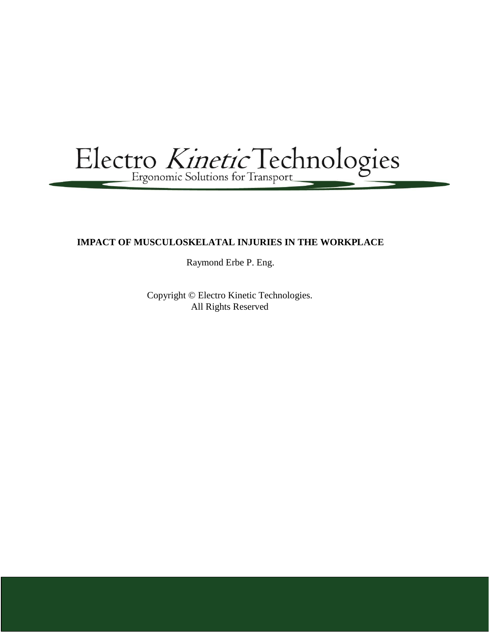Electro Kinetic Technologies

# **IMPACT OF MUSCULOSKELATAL INJURIES IN THE WORKPLACE**

Raymond Erbe P. Eng.

Copyright © Electro Kinetic Technologies. All Rights Reserved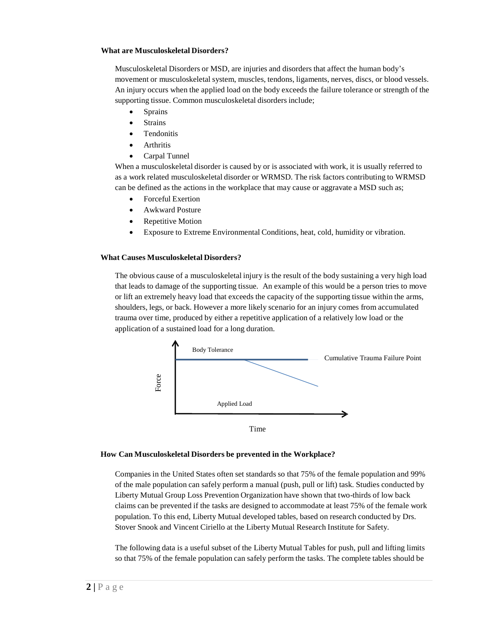## **What are Musculoskeletal Disorders?**

Musculoskeletal Disorders or MSD, are injuries and disorders that affect the human body's movement or musculoskeletal system, muscles, tendons, ligaments, nerves, discs, or blood vessels. An injury occurs when the applied load on the body exceeds the failure tolerance or strength of the supporting tissue. Common musculoskeletal disorders include;

- **Sprains**
- **Strains**
- Tendonitis
- Arthritis
- Carpal Tunnel

When a musculoskeletal disorder is caused by or is associated with work, it is usually referred to as a work related musculoskeletal disorder or WRMSD. The risk factors contributing to WRMSD can be defined as the actions in the workplace that may cause or aggravate a MSD such as;

- Forceful Exertion
- Awkward Posture
- Repetitive Motion
- Exposure to Extreme Environmental Conditions, heat, cold, humidity or vibration.

## **What Causes Musculoskeletal Disorders?**

The obvious cause of a musculoskeletal injury is the result of the body sustaining a very high load that leads to damage of the supporting tissue. An example of this would be a person tries to move or lift an extremely heavy load that exceeds the capacity of the supporting tissue within the arms, shoulders, legs, or back. However a more likely scenario for an injury comes from accumulated trauma over time, produced by either a repetitive application of a relatively low load or the application of a sustained load for a long duration.



Time

## **How Can Musculoskeletal Disorders be prevented in the Workplace?**

Companies in the United States often set standards so that 75% of the female population and 99% of the male population can safely perform a manual (push, pull or lift) task. Studies conducted by Liberty Mutual Group Loss Prevention Organization have shown that two-thirds of low back claims can be prevented if the tasks are designed to accommodate at least 75% of the female work population. To this end, Liberty Mutual developed tables, based on research conducted by Drs. Stover Snook and Vincent Ciriello at the Liberty Mutual Research Institute for Safety.

The following data is a useful subset of the Liberty Mutual Tables for push, pull and lifting limits so that 75% of the female population can safely perform the tasks. The complete tables should be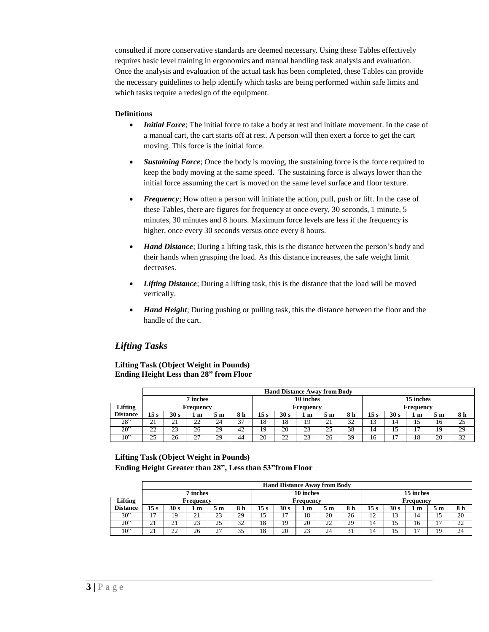consulted if more conservative standards are deemed necessary. Using these Tables effectively requires basic level training in ergonomics and manual handling task analysis and evaluation. Once the analysis and evaluation of the actual task has been completed, these Tables can provide the necessary guidelines to help identify which tasks are being performed within safe limits and which tasks require a redesign of the equipment.

## **Definitions**

- *Initial Force*; The initial force to take a body at rest and initiate movement. In the case of a manual cart, the cart starts off at rest. A person will then exert a force to get the cart moving. This force is the initial force.
- **Sustaining Force**; Once the body is moving, the sustaining force is the force required to keep the body moving at the same speed. The sustaining force is always lower than the initial force assuming the cart is moved on the same level surface and floor texture.
- *Frequency*; How often a person will initiate the action, pull, push or lift. In the case of these Tables, there are figures for frequency at once every, 30 seconds, 1 minute, 5 minutes, 30 minutes and 8 hours. Maximum force levels are less if the frequency is higher, once every 30 seconds versus once every 8 hours.
- *Hand Distance*; During a lifting task, this is the distance between the person's body and their hands when grasping the load. As this distance increases, the safe weight limit decreases.
- *Lifting Distance*; During a lifting task, this is the distance that the load will be moved vertically.
- *Hand Height*; During pushing or pulling task, this the distance between the floor and the handle of the cart.

# *Lifting Tasks*

## **Lifting Task (Object Weight in Pounds) Ending Height Less than 28" from Floor**

|                 |                       | <b>Hand Distance Away from Body</b> |               |     |     |                 |      |           |     |           |           |      |    |    |     |
|-----------------|-----------------------|-------------------------------------|---------------|-----|-----|-----------------|------|-----------|-----|-----------|-----------|------|----|----|-----|
|                 | 10 inches<br>7 inches |                                     |               |     |     |                 |      |           |     | 15 inches |           |      |    |    |     |
| Lifting         |                       |                                     | Frequency     |     |     |                 |      | Frequency |     |           | Frequency |      |    |    |     |
| <b>Distance</b> | 15 s                  | 30 s                                | $\pm$ m       | 5 m | 8 h | 15 <sub>s</sub> | 30 s | 1 m       | 5 m | 8 h       | 15s       | 30 s | m  | m  | 8 h |
| 28"             | $\bigcap$ 1<br>ΖI     | 21                                  | 22            | 24  | 37  | 18              | 18   | 19        | າ 1 | 32        |           | 14   |    | 16 | 25  |
| 20              | $\cap$<br>∸           | 23                                  | 26            | 29  | 42  | 19              | 20   | 23        | 25  | 38        | 14        |      |    | 19 | 29  |
| 10"             | 25                    | 26                                  | $\mathcal{L}$ | 29  | 44  | 20              | 22   | 23        | 26  | 39        | 16        |      | 18 | 20 | 32  |

## **Lifting Task (Object Weight in Pounds) Ending Height Greater than 28", Less than 53"from Floor**

|                 |                          | <b>Hand Distance Away from Body</b> |                       |         |           |      |                 |           |         |     |                               |                  |    |    |     |
|-----------------|--------------------------|-------------------------------------|-----------------------|---------|-----------|------|-----------------|-----------|---------|-----|-------------------------------|------------------|----|----|-----|
|                 |                          |                                     | 10 inches<br>7 inches |         |           |      |                 |           |         |     | 15 inches                     |                  |    |    |     |
| Lifting         |                          |                                     | Frequency             |         |           |      |                 | Frequency |         |     | Frequency                     |                  |    |    |     |
| <b>Distance</b> | 15 s                     | 30 s                                | 1 m                   | 5 m     | 8 h       | 15 s | 30 <sub>s</sub> | m         | 5 m     | 8 h | 15 <sub>s</sub>               | 30 s             | m  | эm | 8 h |
| 30"             | $\overline{\phantom{a}}$ | 19                                  | 21                    | 23      | 29        | 5    | ຳ               | 18        | 20      | 26  | $1^{\circ}$<br>$\overline{ }$ | $\sqrt{2}$<br>IJ | 14 | 15 | 20  |
| $20^{\circ}$    | ∠⊥                       | 21                                  | 23                    | 25      | 32        | 18   | 19              | 20        | າາ<br>∸ | 29  | 14                            | 15               | 16 |    | 22  |
| 10"             | ⌒ ·                      | າາ                                  | 26                    | רר<br>∠ | 35<br>ر ر | 18   | 20              | $\sim$    | 24      | ⌒.  | 14                            | L)               |    | 19 | 24  |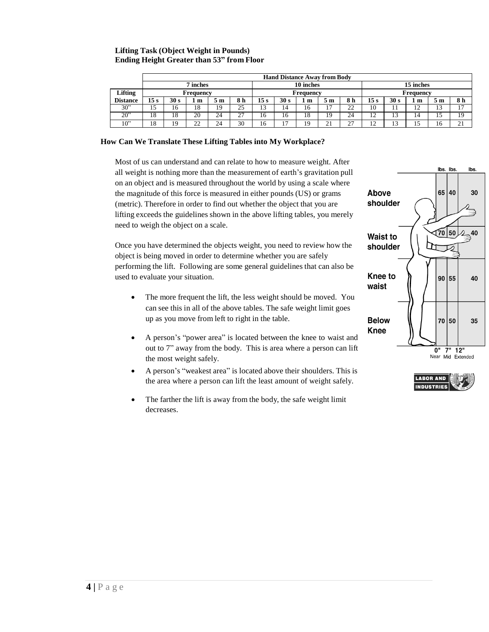## **Lifting Task (Object Weight in Pounds) Ending Height Greater than 53" from Floor**

|                 |                       | <b>Hand Distance Away from Body</b> |           |     |     |                 |           |           |           |     |                 |                |                |     |                   |
|-----------------|-----------------------|-------------------------------------|-----------|-----|-----|-----------------|-----------|-----------|-----------|-----|-----------------|----------------|----------------|-----|-------------------|
|                 | 10 inches<br>7 inches |                                     |           |     |     |                 |           | 15 inches |           |     |                 |                |                |     |                   |
| <b>Lifting</b>  |                       |                                     | Frequency |     |     |                 | Frequency |           |           |     |                 | Frequency      |                |     |                   |
| <b>Distance</b> | 15 s                  | 30 s                                | l m       | 5 m | 8 h | 15 <sub>s</sub> | 30 s      | m         | эm        | 8 h | 15 <sub>s</sub> | 30 s           | 1 m            | 5 m | 8 h               |
| 30"             | 10                    | 16                                  | 18        | 19  | 25  | 13              | 14        | 16        |           | 22  | 10              |                | $\overline{ }$ | 13  | 17                |
| 20"             | 18                    | 18                                  | 20        | 24  | ົ   | 16              | 16        | 18        | 19        | 24  | 12              | . .            | 14             |     | 19                |
| 10"             | 18                    | 19                                  | 22        | 24  | 30  | 16              | - י       | 19        | $^{\sim}$ | 27  | 12              | 1 <sub>2</sub> |                | 16  | $\bigcap$ 1<br>∠⊥ |

#### **How Can We Translate These Lifting Tables into My Workplace?**

Most of us can understand and can relate to how to measure weight. After all weight is nothing more than the measurement of earth's gravitation pull on an object and is measured throughout the world by using a scale where the magnitude of this force is measured in either pounds (US) or grams (metric). Therefore in order to find out whether the object that you are lifting exceeds the guidelines shown in the above lifting tables, you merely need to weigh the object on a scale.

Once you have determined the objects weight, you need to review how the object is being moved in order to determine whether you are safely performing the lift. Following are some general guidelines that can also be used to evaluate your situation.

- The more frequent the lift, the less weight should be moved. You can see this in all of the above tables. The safe weight limit goes up as you move from left to right in the table.
- A person's "power area" is located between the knee to waist and out to 7" away from the body. This is area where a person can lift the most weight safely.
- A person's "weakest area" is located above their shoulders. This is the area where a person can lift the least amount of weight safely.
- The farther the lift is away from the body, the safe weight limit decreases.



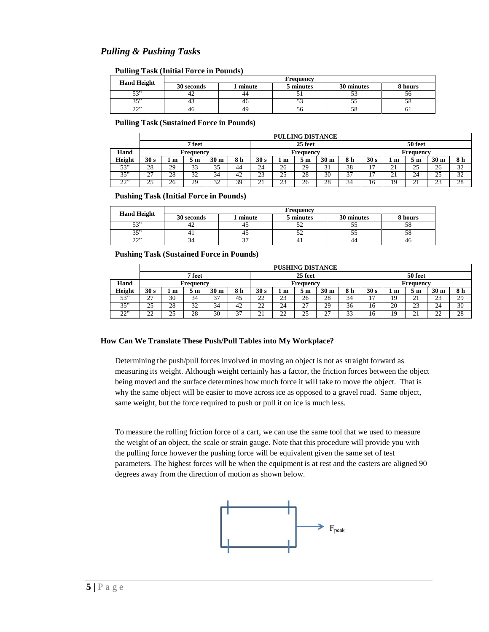# *Pulling & Pushing Tasks*

**Pulling Task (Initial Force in Pounds)**

|                    | <b>Frequency</b> |        |           |            |         |  |  |  |  |  |  |
|--------------------|------------------|--------|-----------|------------|---------|--|--|--|--|--|--|
| <b>Hand Height</b> | 30 seconds       | minute | 5 minutes | 30 minutes | 8 hours |  |  |  |  |  |  |
| 53"                | 42               | 44     |           | ے ب        |         |  |  |  |  |  |  |
| 35"                | 43               | 40     | ر ر       | ی ر        |         |  |  |  |  |  |  |
| າາ"<br>--          | 40               | 49     | эb        | Зč         |         |  |  |  |  |  |  |

**Pulling Task (Sustained Force in Pounds)**

|          |                    | <b>PULLING DISTANCE</b> |                      |                 |           |      |              |           |                 |     |                          |                         |                  |                 |     |
|----------|--------------------|-------------------------|----------------------|-----------------|-----------|------|--------------|-----------|-----------------|-----|--------------------------|-------------------------|------------------|-----------------|-----|
|          | 25 feet<br>7 feet  |                         |                      |                 |           |      |              |           | 50 feet         |     |                          |                         |                  |                 |     |
| Hand     |                    |                         | Frequency            |                 |           |      |              | Frequency |                 |     |                          | Frequency               |                  |                 |     |
| Height   | 30 <sub>s</sub>    | 1 m                     | 5 m                  | 30 <sub>m</sub> | 8 h       | 30 s | m            | эm        | 30 <sub>m</sub> | 8 h | 30 s                     | m                       | 5 <sub>m</sub>   | 30 <sub>m</sub> | 8 h |
| 53"      | 28                 | 29                      | $\sim$<br>≺ ≺<br>ر ر | 35<br>ر ر       | 44        | 24   | 26           | 29        | 21<br>- 1       | 38  | $\overline{\phantom{a}}$ | $\bigcap$ 1<br><u>_</u> | 25               | 26              | 32  |
| 35"      | $\sim$<br><u>_</u> | 28                      | 32                   | 34              | 42        | 23   | 25           | 28        | 30              | 37  |                          | ⌒<br>"                  | 24               | 25              | 32  |
| 22<br>∠∠ | 25                 | 26                      | 29                   | 32              | 30<br>J . | ∼.   | $\sim$<br>23 | 26        | 28              | 34  | 16                       |                         | ົາ 1<br><u>.</u> | 23              | 28  |

**Pushing Task (Initial Force in Pounds)**

| <b>Hand Height</b> | <b>Frequency</b> |        |           |            |         |  |  |  |  |  |  |
|--------------------|------------------|--------|-----------|------------|---------|--|--|--|--|--|--|
|                    | 30 seconds       | minute | 5 minutes | 30 minutes | 8 hours |  |  |  |  |  |  |
| 53"                | 44               |        | ے ر       | ت ب        |         |  |  |  |  |  |  |
| 35"                |                  |        | ے ر       | ت ب        |         |  |  |  |  |  |  |
| າານ<br>--          |                  |        |           | 44         | 40      |  |  |  |  |  |  |

**Pushing Task (Sustained Force in Pounds)**

|                           |                    | <b>PUSHING DISTANCE</b> |           |                 |             |                     |                     |           |                 |                      |         |    |                  |                     |     |
|---------------------------|--------------------|-------------------------|-----------|-----------------|-------------|---------------------|---------------------|-----------|-----------------|----------------------|---------|----|------------------|---------------------|-----|
|                           |                    |                         | 7 feet    | 25 feet         |             |                     |                     |           |                 |                      | 50 feet |    |                  |                     |     |
| Hand                      |                    |                         | Frequency |                 |             |                     | Frequency           |           |                 |                      |         |    | Frequency        |                     |     |
| Height                    | 30 s               | m                       | m         | 30 <sub>m</sub> | 8 h         | 30 s                | ե m                 | ∖ m       | 30 <sub>m</sub> | 8 h                  | 30 s    | m  | эm               | 30 <sub>m</sub>     | 8 h |
| 53"                       | $\sim$<br><u>_</u> | 30                      | 34        | $\sim$<br>ັ     | 45          | າາ<br>∸             | $\mathcal{L}$<br>23 | 26        | 28              | 34                   |         |    | ر پ              | $\mathcal{L}$<br>23 | 29  |
| 35"                       | 25                 | 28                      | 32<br>ے ر | 34              | 42          | $\gamma\gamma$<br>∸ | 24                  | 27<br>، ڪ | 29              | 36                   | 16      | 20 | 23               | 24                  | 30  |
| $\cap$ <sup>2</sup><br>∠∠ | $\cap$<br>∸        | $\sim$<br>25            | 28        | 30              | $\sim$<br>◡ | <u>، ،</u>          | $\mathbf{A}$<br>∠∠  | 25        | $\sim$<br>∠     | $\sim$<br>≺ ⊣<br>ر ر | 16      |    | ົາ 1<br><u>.</u> | $\cap$<br>∸         | 28  |

## **How Can We Translate These Push/Pull Tables into My Workplace?**

Determining the push/pull forces involved in moving an object is not as straight forward as measuring its weight. Although weight certainly has a factor, the friction forces between the object being moved and the surface determines how much force it will take to move the object. That is why the same object will be easier to move across ice as opposed to a gravel road. Same object, same weight, but the force required to push or pull it on ice is much less.

To measure the rolling friction force of a cart, we can use the same tool that we used to measure the weight of an object, the scale or strain gauge. Note that this procedure will provide you with the pulling force however the pushing force will be equivalent given the same set of test parameters. The highest forces will be when the equipment is at rest and the casters are aligned 90 degrees away from the direction of motion as shown below.

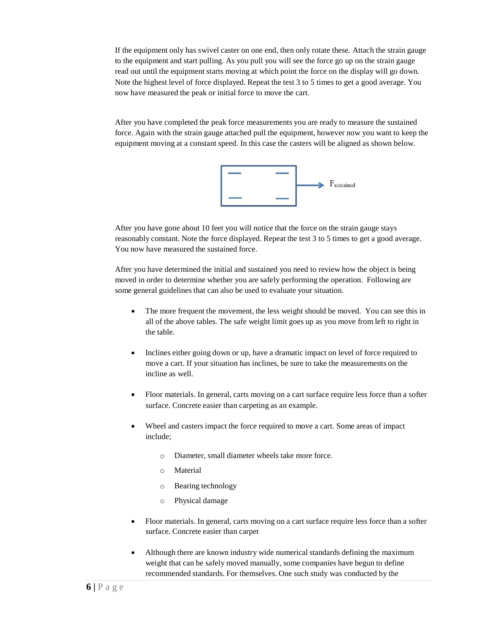If the equipment only has swivel caster on one end, then only rotate these. Attach the strain gauge to the equipment and start pulling. As you pull you will see the force go up on the strain gauge read out until the equipment starts moving at which point the force on the display will go down. Note the highest level of force displayed. Repeat the test 3 to 5 times to get a good average. You now have measured the peak or initial force to move the cart.

After you have completed the peak force measurements you are ready to measure the sustained force. Again with the strain gauge attached pull the equipment, however now you want to keep the equipment moving at a constant speed. In this case the casters will be aligned as shown below.



After you have gone about 10 feet you will notice that the force on the strain gauge stays reasonably constant. Note the force displayed. Repeat the test 3 to 5 times to get a good average. You now have measured the sustained force.

After you have determined the initial and sustained you need to review how the object is being moved in order to determine whether you are safely performing the operation. Following are some general guidelines that can also be used to evaluate your situation.

- The more frequent the movement, the less weight should be moved. You can see this in all of the above tables. The safe weight limit goes up as you move from left to right in the table.
- Inclines either going down or up, have a dramatic impact on level of force required to move a cart. If your situation has inclines, be sure to take the measurements on the incline as well.
- Floor materials. In general, carts moving on a cart surface require less force than a softer surface. Concrete easier than carpeting as an example.
- Wheel and casters impact the force required to move a cart. Some areas of impact include;
	- o Diameter, small diameter wheels take more force.
	- o Material
	- o Bearing technology
	- o Physical damage
- Floor materials. In general, carts moving on a cart surface require less force than a softer surface. Concrete easier than carpet
- Although there are known industry wide numerical standards defining the maximum weight that can be safely moved manually, some companies have begun to define recommended standards. For themselves. One such study was conducted by the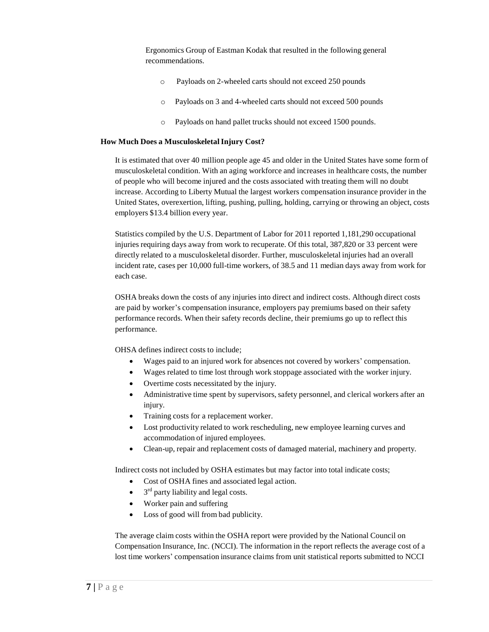Ergonomics Group of Eastman Kodak that resulted in the following general recommendations.

- o Payloads on 2-wheeled carts should not exceed 250 pounds
- o Payloads on 3 and 4-wheeled carts should not exceed 500 pounds
- o Payloads on hand pallet trucks should not exceed 1500 pounds.

## **How Much Does a MusculoskeletalInjury Cost?**

It is estimated that over 40 million people age 45 and older in the United States have some form of musculoskeletal condition. With an aging workforce and increases in healthcare costs, the number of people who will become injured and the costs associated with treating them will no doubt increase. According to Liberty Mutual the largest workers compensation insurance provider in the United States, overexertion, lifting, pushing, pulling, holding, carrying or throwing an object, costs employers \$13.4 billion every year.

Statistics compiled by the U.S. Department of Labor for 2011 reported 1,181,290 occupational injuries requiring days away from work to recuperate. Of this total, 387,820 or 33 percent were directly related to a musculoskeletal disorder. Further, musculoskeletal injuries had an overall incident rate, cases per 10,000 full-time workers, of 38.5 and 11 median days away from work for each case.

OSHA breaks down the costs of any injuries into direct and indirect costs. Although direct costs are paid by worker's compensation insurance, employers pay premiums based on their safety performance records. When their safety records decline, their premiums go up to reflect this performance.

OHSA defines indirect costs to include;

- Wages paid to an injured work for absences not covered by workers' compensation.
- Wages related to time lost through work stoppage associated with the worker injury.
- Overtime costs necessitated by the injury.
- Administrative time spent by supervisors, safety personnel, and clerical workers after an injury.
- Training costs for a replacement worker.
- Lost productivity related to work rescheduling, new employee learning curves and accommodation of injured employees.
- Clean-up, repair and replacement costs of damaged material, machinery and property.

Indirect costs not included by OSHA estimates but may factor into total indicate costs;

- Cost of OSHA fines and associated legal action.
- $\bullet$  $3<sup>rd</sup>$  party liability and legal costs.
- Worker pain and suffering
- Loss of good will from bad publicity.

The average claim costs within the OSHA report were provided by the National Council on Compensation Insurance, Inc. (NCCI). The information in the report reflects the average cost of a lost time workers' compensation insurance claims from unit statistical reports submitted to NCCI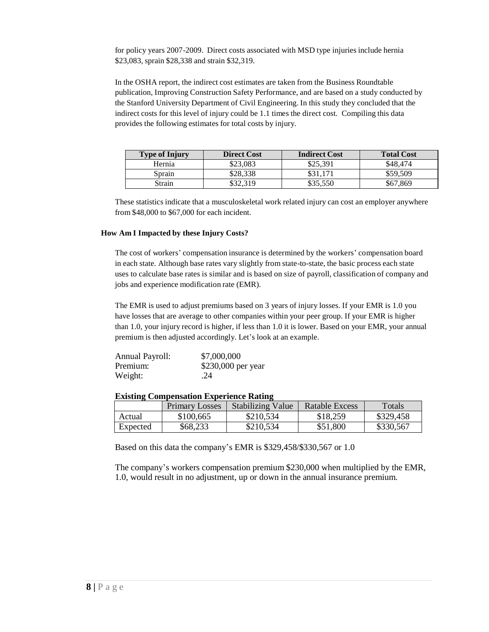for policy years 2007-2009. Direct costs associated with MSD type injuries include hernia \$23,083, sprain \$28,338 and strain \$32,319.

In the OSHA report, the indirect cost estimates are taken from the Business Roundtable publication, Improving Construction Safety Performance, and are based on a study conducted by the Stanford University Department of Civil Engineering. In this study they concluded that the indirect costs for this level of injury could be 1.1 times the direct cost. Compiling this data provides the following estimates for total costs by injury.

| <b>Type of Injury</b> | <b>Direct Cost</b> | <b>Indirect Cost</b> | <b>Total Cost</b> |
|-----------------------|--------------------|----------------------|-------------------|
| Hernia                | \$23.083           | \$25,391             | \$48,474          |
| Sprain                | \$28.338           | \$31.171             | \$59,509          |
| Strain                | \$32,319           | \$35.550             | \$67,869          |

These statistics indicate that a musculoskeletal work related injury can cost an employer anywhere from \$48,000 to \$67,000 for each incident.

## **How Am I Impacted by these Injury Costs?**

The cost of workers' compensation insurance is determined by the workers' compensation board in each state. Although base rates vary slightly from state-to-state, the basic process each state uses to calculate base rates is similar and is based on size of payroll, classification of company and jobs and experience modification rate (EMR).

The EMR is used to adjust premiums based on 3 years of injury losses. If your EMR is 1.0 you have losses that are average to other companies within your peer group. If your EMR is higher than 1.0, your injury record is higher, if less than 1.0 it is lower. Based on your EMR, your annual premium is then adjusted accordingly. Let's look at an example.

| <b>Annual Payroll:</b> | \$7,000,000        |
|------------------------|--------------------|
| Premium:               | \$230,000 per year |
| Weight:                | .24                |

## **Existing Compensation Experience Rating**

|          | <b>Primary Losses</b> | <b>Stabilizing Value</b> | Ratable Excess | Totals    |
|----------|-----------------------|--------------------------|----------------|-----------|
| Actual   | \$100,665             | \$210,534                | \$18,259       | \$329,458 |
| Expected | \$68,233              | \$210,534                | \$51,800       | \$330,567 |

Based on this data the company's EMR is \$329,458/\$330,567 or 1.0

The company's workers compensation premium \$230,000 when multiplied by the EMR, 1.0, would result in no adjustment, up or down in the annual insurance premium.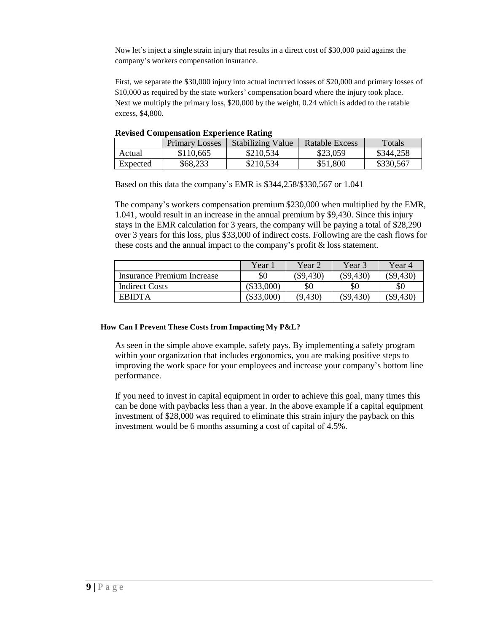Now let's inject a single strain injury that results in a direct cost of \$30,000 paid against the company's workers compensation insurance.

First, we separate the \$30,000 injury into actual incurred losses of \$20,000 and primary losses of \$10,000 as required by the state workers' compensation board where the injury took place. Next we multiply the primary loss, \$20,000 by the weight, 0.24 which is added to the ratable excess, \$4,800.

|          | <b>Primary Losses</b> | <b>Stabilizing Value</b> | Ratable Excess | <b>Totals</b> |
|----------|-----------------------|--------------------------|----------------|---------------|
| Actual   | \$110,665             | \$210,534                | \$23,059       | \$344,258     |
| Expected | \$68,233              | \$210,534                | \$51,800       | \$330,567     |

**Revised Compensation Experience Rating**

Based on this data the company's EMR is \$344,258/\$330,567 or 1.041

The company's workers compensation premium \$230,000 when multiplied by the EMR, 1.041, would result in an increase in the annual premium by \$9,430. Since this injury stays in the EMR calculation for 3 years, the company will be paying a total of \$28,290 over 3 years for this loss, plus \$33,000 of indirect costs. Following are the cash flows for these costs and the annual impact to the company's profit & loss statement.

|                            | Year         | Year 2      | Year 3      | Year 4      |
|----------------------------|--------------|-------------|-------------|-------------|
| Insurance Premium Increase | \$0          | $(\$9,430)$ | $(\$9,430)$ | \$9,430     |
| <b>Indirect Costs</b>      | $(\$33,000)$ | \$0         | \$0         | \$0         |
| <b>EBIDTA</b>              | $(\$33,000)$ | (9, 430)    | (\$9,430)   | $(\$9,430)$ |

## **How Can I Prevent These Costs from Impacting My P&L?**

As seen in the simple above example, safety pays. By implementing a safety program within your organization that includes ergonomics, you are making positive steps to improving the work space for your employees and increase your company's bottom line performance.

If you need to invest in capital equipment in order to achieve this goal, many times this can be done with paybacks less than a year. In the above example if a capital equipment investment of \$28,000 was required to eliminate this strain injury the payback on this investment would be 6 months assuming a cost of capital of 4.5%.